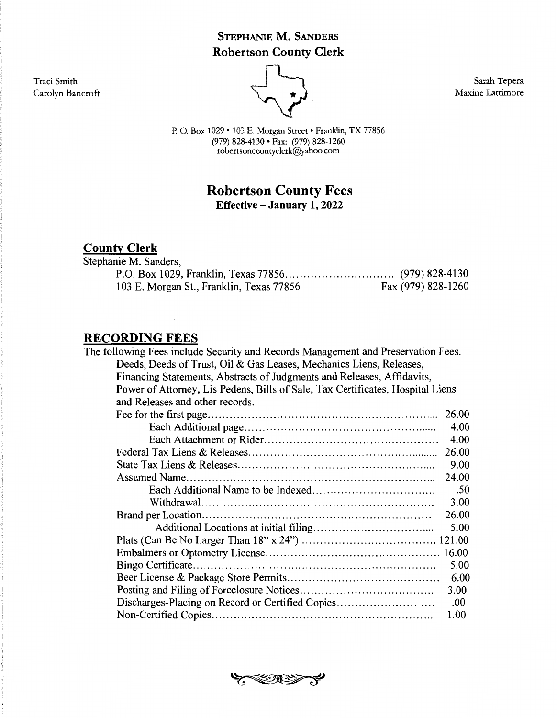## **STEPHANIE M. SANDERS Robertson County Clerk**

Traci Smith Carolyn Bancroft



Sarah Tepera Maxine Lattimore

P. 0. Box 1029 • 103 E. Morgan Street • Franklin, TX 77856 (979) 828-4130 • Fax: (979) 828-1260 robertsoncountyclerk@yahoo.com

## **Robertson County Fees Effective-January 1, 2022**

# **County Clerk**

| Stephanie M. Sanders,                    |                    |
|------------------------------------------|--------------------|
|                                          |                    |
| 103 E. Morgan St., Franklin, Texas 77856 | Fax (979) 828-1260 |

#### **RECORDING FEES**

| The following Fees include Security and Records Management and Preservation Fees. |       |
|-----------------------------------------------------------------------------------|-------|
| Deeds, Deeds of Trust, Oil & Gas Leases, Mechanics Liens, Releases,               |       |
| Financing Statements, Abstracts of Judgments and Releases, Affidavits,            |       |
| Power of Attorney, Lis Pedens, Bills of Sale, Tax Certificates, Hospital Liens    |       |
| and Releases and other records.                                                   |       |
|                                                                                   | 26.00 |
|                                                                                   | 4.00  |
|                                                                                   | 4.00  |
|                                                                                   | 26.00 |
|                                                                                   | 9.00  |
|                                                                                   | 24.00 |
|                                                                                   | .50   |
|                                                                                   | 3.00  |
|                                                                                   | 26.00 |
|                                                                                   | 5.00  |
|                                                                                   |       |
|                                                                                   |       |
|                                                                                   | 5.00  |
|                                                                                   | 6.00  |
|                                                                                   | 3.00  |
| Discharges-Placing on Record or Certified Copies                                  | .00   |
|                                                                                   | 1.00  |

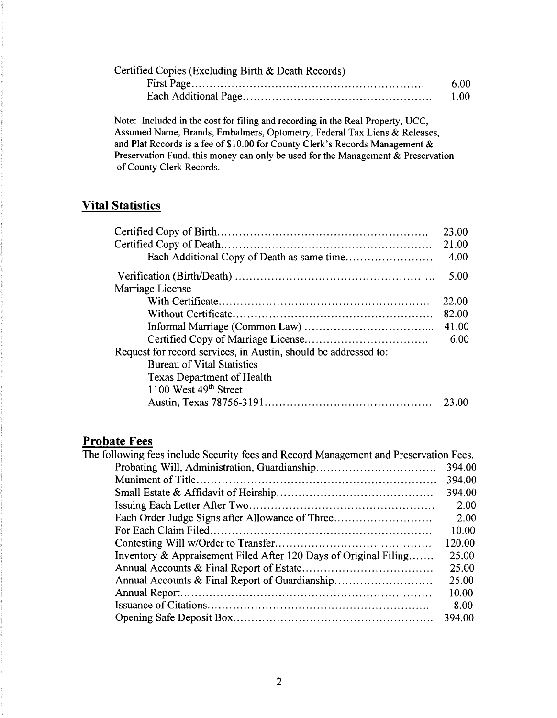| Certified Copies (Excluding Birth $\&$ Death Records) |      |
|-------------------------------------------------------|------|
|                                                       | 6.00 |
|                                                       | 1.00 |

Note: Included in the cost for filing and recording in the Real Property, UCC, Assumed Name, Brands, Embalmers, Optometry, Federal Tax Liens & Releases, and Plat Records is a fee of \$10.00 for County Clerk's Records Management & Preservation Fund, this money can only be used for the Management & Preservation of County Clerk Records.

### **Vital Statistics**

|                                                                 | 23.00<br>21.00<br>4.00 |
|-----------------------------------------------------------------|------------------------|
|                                                                 | 5.00                   |
| Marriage License                                                |                        |
|                                                                 | 22.00                  |
|                                                                 | 82.00                  |
|                                                                 | 41.00                  |
|                                                                 | 6.00                   |
| Request for record services, in Austin, should be addressed to: |                        |
| <b>Bureau of Vital Statistics</b>                               |                        |
| <b>Texas Department of Health</b>                               |                        |
| 1100 West 49 <sup>th</sup> Street                               |                        |
|                                                                 | 23.00                  |

# **Probate Fees**

| The following fees include Security fees and Record Management and Preservation Fees. |        |
|---------------------------------------------------------------------------------------|--------|
|                                                                                       | 394.00 |
|                                                                                       | 394.00 |
|                                                                                       | 394.00 |
|                                                                                       | 2.00   |
| Each Order Judge Signs after Allowance of Three                                       | 2.00   |
|                                                                                       | 10.00  |
|                                                                                       | 120.00 |
| Inventory & Appraisement Filed After 120 Days of Original Filing                      | 25.00  |
|                                                                                       | 25.00  |
|                                                                                       | 25.00  |
|                                                                                       | 10.00  |
|                                                                                       | 8.00   |
|                                                                                       | 394.00 |